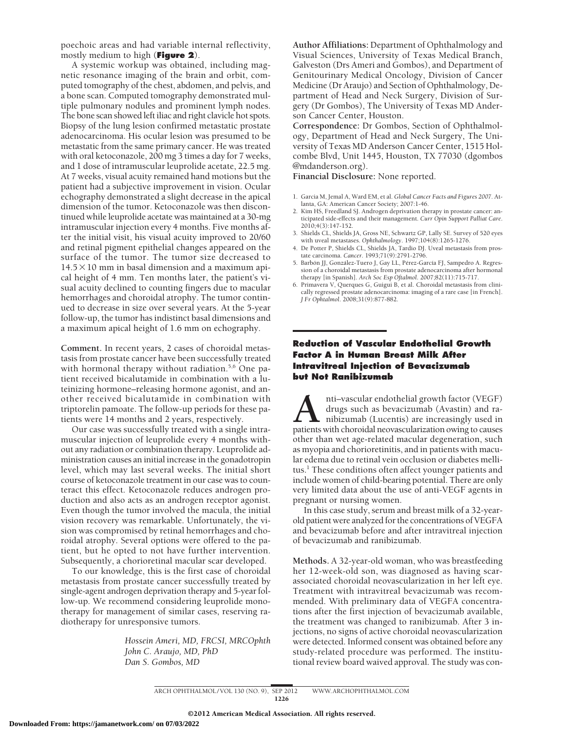poechoic areas and had variable internal reflectivity, mostly medium to high (**Figure 2**).

A systemic workup was obtained, including magnetic resonance imaging of the brain and orbit, computed tomography of the chest, abdomen, and pelvis, and a bone scan. Computed tomography demonstrated multiple pulmonary nodules and prominent lymph nodes. The bone scan showed left iliac and right clavicle hot spots. Biopsy of the lung lesion confirmed metastatic prostate adenocarcinoma. His ocular lesion was presumed to be metastatic from the same primary cancer. He was treated with oral ketoconazole, 200 mg 3 times a day for 7 weeks, and 1 dose of intramuscular leuprolide acetate, 22.5 mg. At 7 weeks, visual acuity remained hand motions but the patient had a subjective improvement in vision. Ocular echography demonstrated a slight decrease in the apical dimension of the tumor. Ketoconazole was then discontinued while leuprolide acetate was maintained at a 30-mg intramuscular injection every 4 months. Five months after the initial visit, his visual acuity improved to 20/60 and retinal pigment epithelial changes appeared on the surface of the tumor. The tumor size decreased to  $14.5 \times 10$  mm in basal dimension and a maximum apical height of 4 mm. Ten months later, the patient's visual acuity declined to counting fingers due to macular hemorrhages and choroidal atrophy. The tumor continued to decrease in size over several years. At the 5-year follow-up, the tumor has indistinct basal dimensions and a maximum apical height of 1.6 mm on echography.

**Comment.** In recent years, 2 cases of choroidal metastasis from prostate cancer have been successfully treated with hormonal therapy without radiation.<sup>5,6</sup> One patient received bicalutamide in combination with a luteinizing hormone–releasing hormone agonist, and another received bicalutamide in combination with triptorelin pamoate. The follow-up periods for these patients were 14 months and 2 years, respectively.

Our case was successfully treated with a single intramuscular injection of leuprolide every 4 months without any radiation or combination therapy. Leuprolide administration causes an initial increase in the gonadotropin level, which may last several weeks. The initial short course of ketoconazole treatment in our case was to counteract this effect. Ketoconazole reduces androgen production and also acts as an androgen receptor agonist. Even though the tumor involved the macula, the initial vision recovery was remarkable. Unfortunately, the vision was compromised by retinal hemorrhages and choroidal atrophy. Several options were offered to the patient, but he opted to not have further intervention. Subsequently, a chorioretinal macular scar developed.

To our knowledge, this is the first case of choroidal metastasis from prostate cancer successfully treated by single-agent androgen deprivation therapy and 5-year follow-up. We recommend considering leuprolide monotherapy for management of similar cases, reserving radiotherapy for unresponsive tumors.

> *Hossein Ameri, MD, FRCSI, MRCOphth John C. Araujo, MD, PhD Dan S. Gombos, MD*

**Author Affiliations:** Department of Ophthalmology and Visual Sciences, University of Texas Medical Branch, Galveston (Drs Ameri and Gombos), and Department of Genitourinary Medical Oncology, Division of Cancer Medicine (Dr Araujo) and Section of Ophthalmology, Department of Head and Neck Surgery, Division of Surgery (Dr Gombos), The University of Texas MD Anderson Cancer Center, Houston.

**Correspondence:** Dr Gombos, Section of Ophthalmology, Department of Head and Neck Surgery, The University of Texas MD Anderson Cancer Center, 1515 Holcombe Blvd, Unit 1445, Houston, TX 77030 (dgombos @mdanderson.org).

**Financial Disclosure:** None reported.

- 1. Garcia M, Jemal A, Ward EM, et al. *Global Cancer Facts and Figures 2007.* Atlanta, GA: American Cancer Society; 2007:1-46.
- 2. Kim HS, Freedland SJ. Androgen deprivation therapy in prostate cancer: anticipated side-effects and their management. *Curr Opin Support Palliat Care*. 2010;4(3):147-152.
- 3. Shields CL, Shields JA, Gross NE, Schwartz GP, Lally SE. Survey of 520 eyes with uveal metastases. *Ophthalmology*. 1997;104(8):1265-1276.
- 4. De Potter P, Shields CL, Shields JA, Tardio DJ. Uveal metastasis from prostate carcinoma. *Cancer*. 1993;71(9):2791-2796.
- 5. Barbón JJ, González-Tuero J, Gay LL, Pérez-García FJ, Sampedro A. Regression of a choroidal metastasis from prostate adenocarcinoma after hormonal therapy [in Spanish]. *Arch Soc Esp Oftalmol*. 2007;82(11):715-717.
- 6. Primavera V, Querques G, Guigui B, et al. Choroidal metastasis from clinically regressed prostate adenocarcinoma: imaging of a rare case [in French]. *J Fr Ophtalmol*. 2008;31(9):877-882.

## **Reduction of Vascular Endothelial Growth Factor A in Human Breast Milk After Intravitreal Injection of Bevacizumab but Not Ranibizumab**

**A**nti–vascular endothelial growth factor (VEGF) drugs such as bevacizumab (Avastin) and ranibizumab (Lucentis) are increasingly used in patients with choroidal neovascularization owing to causes drugs such as bevacizumab (Avastin) and ranibizumab (Lucentis) are increasingly used in other than wet age-related macular degeneration, such as myopia and chorioretinitis, and in patients with macular edema due to retinal vein occlusion or diabetes mellitus.<sup>1</sup> These conditions often affect younger patients and include women of child-bearing potential. There are only very limited data about the use of anti-VEGF agents in pregnant or nursing women.

In this case study, serum and breast milk of a 32-yearold patient were analyzed for the concentrations of VEGFA and bevacizumab before and after intravitreal injection of bevacizumab and ranibizumab.

**Methods.** A 32-year-old woman, who was breastfeeding her 12-week-old son, was diagnosed as having scarassociated choroidal neovascularization in her left eye. Treatment with intravitreal bevacizumab was recommended. With preliminary data of VEGFA concentrations after the first injection of bevacizumab available, the treatment was changed to ranibizumab. After 3 injections, no signs of active choroidal neovascularization were detected. Informed consent was obtained before any study-related procedure was performed. The institutional review board waived approval. The study was con-